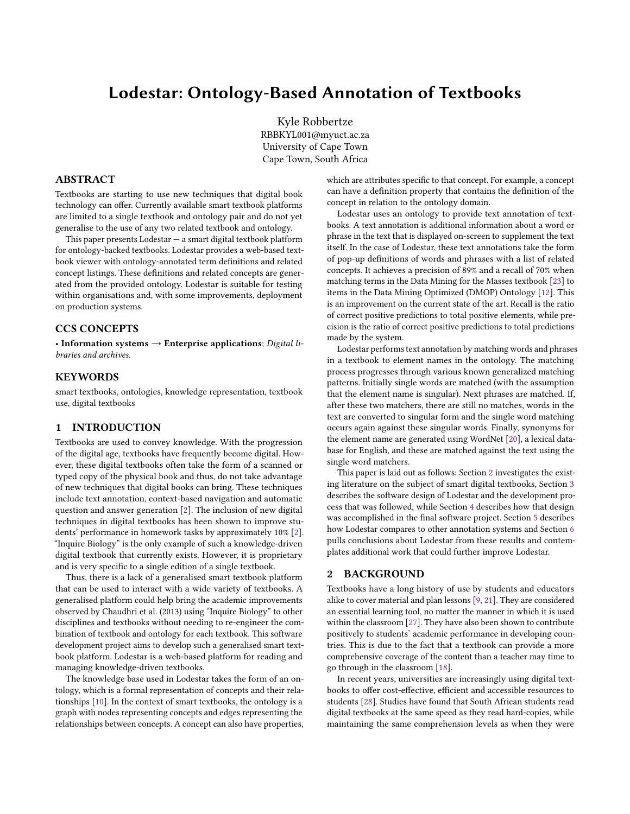# Lodestar: Ontology-Based Annotation of Textbooks

Kyle Robbertze RBBKYL001@myuct.ac.za University of Cape Town Cape Town, South Africa

#### ABSTRACT

Textbooks are starting to use new techniques that digital book technology can offer. Currently available smart textbook platforms are limited to a single textbook and ontology pair and do not yet generalise to the use of any two related textbook and ontology.

This paper presents  $Lodestar - a$  smart digital textbook platform for ontology-backed textbooks. Lodestar provides a web-based textbook viewer with ontology-annotated term definitions and related concept listings. These definitions and related concepts are generated from the provided ontology. Lodestar is suitable for testing within organisations and, with some improvements, deployment on production systems.

# CCS CONCEPTS

• Information systems  $\rightarrow$  Enterprise applications; Digital libraries and archives.

#### **KEYWORDS**

smart textbooks, ontologies, knowledge representation, textbook use, digital textbooks

#### 1 INTRODUCTION

Textbooks are used to convey knowledge. With the progression of the digital age, textbooks have frequently become digital. However, these digital textbooks often take the form of a scanned or typed copy of the physical book and thus, do not take advantage of new techniques that digital books can bring. These techniques include text annotation, context-based navigation and automatic question and answer generation [\[2\]](#page-8-0). The inclusion of new digital techniques in digital textbooks has been shown to improve students' performance in homework tasks by approximately 10% [\[2\]](#page-8-0). "Inquire Biology" is the only example of such a knowledge-driven digital textbook that currently exists. However, it is proprietary and is very specific to a single edition of a single textbook.

Thus, there is a lack of a generalised smart textbook platform that can be used to interact with a wide variety of textbooks. A generalised platform could help bring the academic improvements observed by Chaudhri et al. (2013) using "Inquire Biology" to other disciplines and textbooks without needing to re-engineer the combination of textbook and ontology for each textbook. This software development project aims to develop such a generalised smart textbook platform. Lodestar is a web-based platform for reading and managing knowledge-driven textbooks.

The knowledge base used in Lodestar takes the form of an ontology, which is a formal representation of concepts and their relationships [\[10\]](#page-9-0). In the context of smart textbooks, the ontology is a graph with nodes representing concepts and edges representing the relationships between concepts. A concept can also have properties,

which are attributes specific to that concept. For example, a concept can have a definition property that contains the definition of the concept in relation to the ontology domain.

Lodestar uses an ontology to provide text annotation of textbooks. A text annotation is additional information about a word or phrase in the text that is displayed on-screen to supplement the text itself. In the case of Lodestar, these text annotations take the form of pop-up definitions of words and phrases with a list of related concepts. It achieves a precision of 89% and a recall of 70% when matching terms in the Data Mining for the Masses textbook [\[23\]](#page-9-1) to items in the Data Mining Optimized (DMOP) Ontology [\[12\]](#page-9-2). This is an improvement on the current state of the art. Recall is the ratio of correct positive predictions to total positive elements, while precision is the ratio of correct positive predictions to total predictions made by the system.

Lodestar performs text annotation by matching words and phrases in a textbook to element names in the ontology. The matching process progresses through various known generalized matching patterns. Initially single words are matched (with the assumption that the element name is singular). Next phrases are matched. If, after these two matchers, there are still no matches, words in the text are converted to singular form and the single word matching occurs again against these singular words. Finally, synonyms for the element name are generated using WordNet [\[20\]](#page-9-3), a lexical database for English, and these are matched against the text using the single word matchers.

This paper is laid out as follows: Section [2](#page-0-0) investigates the existing literature on the subject of smart digital textbooks, Section [3](#page-2-0) describes the software design of Lodestar and the development process that was followed, while Section [4](#page-3-0) describes how that design was accomplished in the final software project. Section [5](#page-7-0) describes how Lodestar compares to other annotation systems and Section [6](#page-8-1) pulls conclusions about Lodestar from these results and contemplates additional work that could further improve Lodestar.

#### <span id="page-0-0"></span>2 BACKGROUND

Textbooks have a long history of use by students and educators alike to cover material and plan lessons [\[9,](#page-9-4) [21\]](#page-9-5). They are considered an essential learning tool, no matter the manner in which it is used within the classroom [\[27\]](#page-9-6). They have also been shown to contribute positively to students' academic performance in developing countries. This is due to the fact that a textbook can provide a more comprehensive coverage of the content than a teacher may time to go through in the classroom [\[18\]](#page-9-7).

In recent years, universities are increasingly using digital textbooks to offer cost-effective, efficient and accessible resources to students [\[28\]](#page-9-8). Studies have found that South African students read digital textbooks at the same speed as they read hard-copies, while maintaining the same comprehension levels as when they were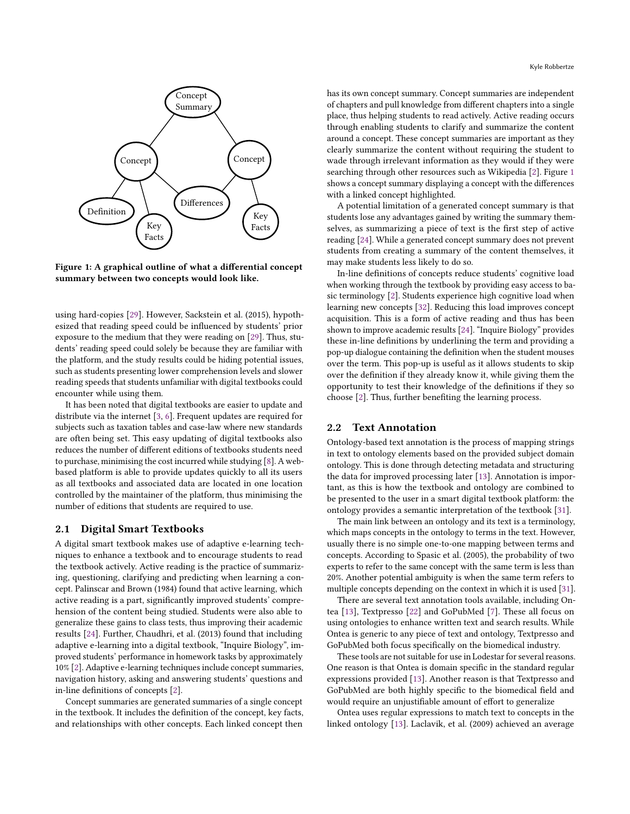

has its own concept summary. Concept summaries are independent of chapters and pull knowledge from different chapters into a single place, thus helping students to read actively. Active reading occurs through enabling students to clarify and summarize the content around a concept. These concept summaries are important as they clearly summarize the content without requiring the student to wade through irrelevant information as they would if they were searching through other resources such as Wikipedia [\[2\]](#page-8-0). Figure [1](#page-1-0) shows a concept summary displaying a concept with the differences with a linked concept highlighted.

A potential limitation of a generated concept summary is that students lose any advantages gained by writing the summary themselves, as summarizing a piece of text is the first step of active reading [\[24\]](#page-9-12). While a generated concept summary does not prevent students from creating a summary of the content themselves, it may make students less likely to do so.

In-line definitions of concepts reduce students' cognitive load when working through the textbook by providing easy access to basic terminology [\[2\]](#page-8-0). Students experience high cognitive load when learning new concepts [\[32\]](#page-9-13). Reducing this load improves concept acquisition. This is a form of active reading and thus has been shown to improve academic results [\[24\]](#page-9-12). "Inquire Biology" provides these in-line definitions by underlining the term and providing a pop-up dialogue containing the definition when the student mouses over the term. This pop-up is useful as it allows students to skip over the definition if they already know it, while giving them the opportunity to test their knowledge of the definitions if they so choose [\[2\]](#page-8-0). Thus, further benefiting the learning process.

#### 2.2 Text Annotation

Ontology-based text annotation is the process of mapping strings in text to ontology elements based on the provided subject domain ontology. This is done through detecting metadata and structuring the data for improved processing later [\[13\]](#page-9-14). Annotation is important, as this is how the textbook and ontology are combined to be presented to the user in a smart digital textbook platform: the ontology provides a semantic interpretation of the textbook [\[31\]](#page-9-15).

The main link between an ontology and its text is a terminology, which maps concepts in the ontology to terms in the text. However, usually there is no simple one-to-one mapping between terms and concepts. According to Spasic et al. (2005), the probability of two experts to refer to the same concept with the same term is less than 20%. Another potential ambiguity is when the same term refers to multiple concepts depending on the context in which it is used [\[31\]](#page-9-15).

There are several text annotation tools available, including Ontea [\[13\]](#page-9-14), Textpresso [\[22\]](#page-9-16) and GoPubMed [\[7\]](#page-9-17). These all focus on using ontologies to enhance written text and search results. While Ontea is generic to any piece of text and ontology, Textpresso and GoPubMed both focus specifically on the biomedical industry.

These tools are not suitable for use in Lodestar for several reasons. One reason is that Ontea is domain specific in the standard regular expressions provided [\[13\]](#page-9-14). Another reason is that Textpresso and GoPubMed are both highly specific to the biomedical field and would require an unjustifiable amount of effort to generalize

Ontea uses regular expressions to match text to concepts in the linked ontology [\[13\]](#page-9-14). Laclavik, et al. (2009) achieved an average

Figure 1: A graphical outline of what a differential concept summary between two concepts would look like.

Key Facts

Definition

Concept Summary

<span id="page-1-0"></span>Concept Concept

Differences

Key Facts

using hard-copies [\[29\]](#page-9-9). However, Sackstein et al. (2015), hypothesized that reading speed could be influenced by students' prior exposure to the medium that they were reading on [\[29\]](#page-9-9). Thus, students' reading speed could solely be because they are familiar with the platform, and the study results could be hiding potential issues, such as students presenting lower comprehension levels and slower reading speeds that students unfamiliar with digital textbooks could encounter while using them.

It has been noted that digital textbooks are easier to update and distribute via the internet [\[3,](#page-8-2) [6\]](#page-9-10). Frequent updates are required for subjects such as taxation tables and case-law where new standards are often being set. This easy updating of digital textbooks also reduces the number of different editions of textbooks students need to purchase, minimising the cost incurred while studying [\[8\]](#page-9-11). A webbased platform is able to provide updates quickly to all its users as all textbooks and associated data are located in one location controlled by the maintainer of the platform, thus minimising the number of editions that students are required to use.

#### 2.1 Digital Smart Textbooks

A digital smart textbook makes use of adaptive e-learning techniques to enhance a textbook and to encourage students to read the textbook actively. Active reading is the practice of summarizing, questioning, clarifying and predicting when learning a concept. Palinscar and Brown (1984) found that active learning, which active reading is a part, significantly improved students' comprehension of the content being studied. Students were also able to generalize these gains to class tests, thus improving their academic results [\[24\]](#page-9-12). Further, Chaudhri, et al. (2013) found that including adaptive e-learning into a digital textbook, "Inquire Biology", improved students' performance in homework tasks by approximately 10% [\[2\]](#page-8-0). Adaptive e-learning techniques include concept summaries, navigation history, asking and answering students' questions and in-line definitions of concepts [\[2\]](#page-8-0).

Concept summaries are generated summaries of a single concept in the textbook. It includes the definition of the concept, key facts, and relationships with other concepts. Each linked concept then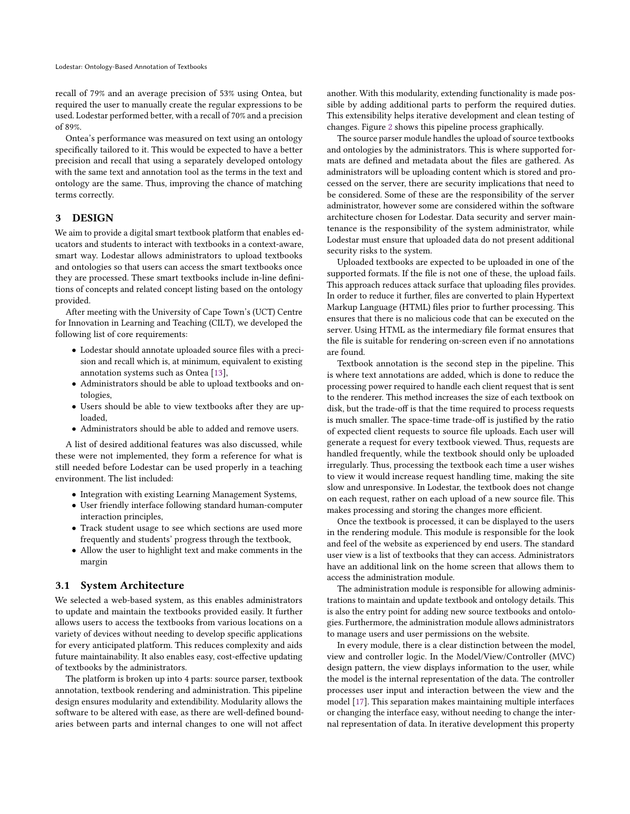recall of 79% and an average precision of 53% using Ontea, but required the user to manually create the regular expressions to be used. Lodestar performed better, with a recall of 70% and a precision of 89%.

Ontea's performance was measured on text using an ontology specifically tailored to it. This would be expected to have a better precision and recall that using a separately developed ontology with the same text and annotation tool as the terms in the text and ontology are the same. Thus, improving the chance of matching terms correctly.

### <span id="page-2-0"></span>3 DESIGN

We aim to provide a digital smart textbook platform that enables educators and students to interact with textbooks in a context-aware, smart way. Lodestar allows administrators to upload textbooks and ontologies so that users can access the smart textbooks once they are processed. These smart textbooks include in-line definitions of concepts and related concept listing based on the ontology provided.

After meeting with the University of Cape Town's (UCT) Centre for Innovation in Learning and Teaching (CILT), we developed the following list of core requirements:

- Lodestar should annotate uploaded source files with a precision and recall which is, at minimum, equivalent to existing annotation systems such as Ontea [\[13\]](#page-9-14),
- Administrators should be able to upload textbooks and ontologies,
- Users should be able to view textbooks after they are uploaded,
- Administrators should be able to added and remove users.

A list of desired additional features was also discussed, while these were not implemented, they form a reference for what is still needed before Lodestar can be used properly in a teaching environment. The list included:

- Integration with existing Learning Management Systems,
- User friendly interface following standard human-computer interaction principles,
- Track student usage to see which sections are used more frequently and students' progress through the textbook,
- Allow the user to highlight text and make comments in the margin

#### 3.1 System Architecture

We selected a web-based system, as this enables administrators to update and maintain the textbooks provided easily. It further allows users to access the textbooks from various locations on a variety of devices without needing to develop specific applications for every anticipated platform. This reduces complexity and aids future maintainability. It also enables easy, cost-effective updating of textbooks by the administrators.

The platform is broken up into 4 parts: source parser, textbook annotation, textbook rendering and administration. This pipeline design ensures modularity and extendibility. Modularity allows the software to be altered with ease, as there are well-defined boundaries between parts and internal changes to one will not affect

another. With this modularity, extending functionality is made possible by adding additional parts to perform the required duties. This extensibility helps iterative development and clean testing of changes. Figure [2](#page-3-1) shows this pipeline process graphically.

The source parser module handles the upload of source textbooks and ontologies by the administrators. This is where supported formats are defined and metadata about the files are gathered. As administrators will be uploading content which is stored and processed on the server, there are security implications that need to be considered. Some of these are the responsibility of the server administrator, however some are considered within the software architecture chosen for Lodestar. Data security and server maintenance is the responsibility of the system administrator, while Lodestar must ensure that uploaded data do not present additional security risks to the system.

Uploaded textbooks are expected to be uploaded in one of the supported formats. If the file is not one of these, the upload fails. This approach reduces attack surface that uploading files provides. In order to reduce it further, files are converted to plain Hypertext Markup Language (HTML) files prior to further processing. This ensures that there is no malicious code that can be executed on the server. Using HTML as the intermediary file format ensures that the file is suitable for rendering on-screen even if no annotations are found.

Textbook annotation is the second step in the pipeline. This is where text annotations are added, which is done to reduce the processing power required to handle each client request that is sent to the renderer. This method increases the size of each textbook on disk, but the trade-off is that the time required to process requests is much smaller. The space-time trade-off is justified by the ratio of expected client requests to source file uploads. Each user will generate a request for every textbook viewed. Thus, requests are handled frequently, while the textbook should only be uploaded irregularly. Thus, processing the textbook each time a user wishes to view it would increase request handling time, making the site slow and unresponsive. In Lodestar, the textbook does not change on each request, rather on each upload of a new source file. This makes processing and storing the changes more efficient.

Once the textbook is processed, it can be displayed to the users in the rendering module. This module is responsible for the look and feel of the website as experienced by end users. The standard user view is a list of textbooks that they can access. Administrators have an additional link on the home screen that allows them to access the administration module.

The administration module is responsible for allowing administrations to maintain and update textbook and ontology details. This is also the entry point for adding new source textbooks and ontologies. Furthermore, the administration module allows administrators to manage users and user permissions on the website.

In every module, there is a clear distinction between the model, view and controller logic. In the Model/View/Controller (MVC) design pattern, the view displays information to the user, while the model is the internal representation of the data. The controller processes user input and interaction between the view and the model [\[17\]](#page-9-18). This separation makes maintaining multiple interfaces or changing the interface easy, without needing to change the internal representation of data. In iterative development this property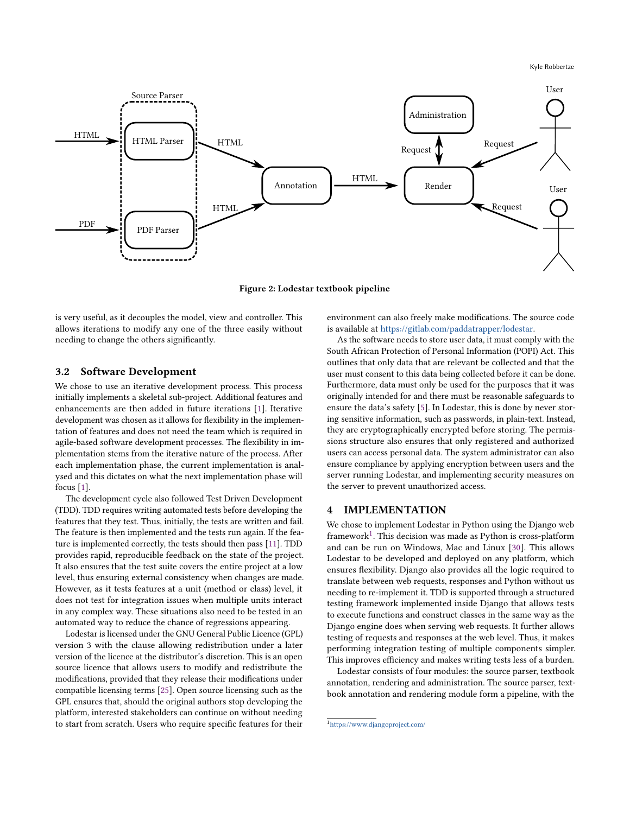<span id="page-3-1"></span>

Figure 2: Lodestar textbook pipeline

is very useful, as it decouples the model, view and controller. This allows iterations to modify any one of the three easily without needing to change the others significantly.

# 3.2 Software Development

We chose to use an iterative development process. This process initially implements a skeletal sub-project. Additional features and enhancements are then added in future iterations [\[1\]](#page-8-3). Iterative development was chosen as it allows for flexibility in the implementation of features and does not need the team which is required in agile-based software development processes. The flexibility in implementation stems from the iterative nature of the process. After each implementation phase, the current implementation is analysed and this dictates on what the next implementation phase will focus [\[1\]](#page-8-3).

The development cycle also followed Test Driven Development (TDD). TDD requires writing automated tests before developing the features that they test. Thus, initially, the tests are written and fail. The feature is then implemented and the tests run again. If the feature is implemented correctly, the tests should then pass [\[11\]](#page-9-19). TDD provides rapid, reproducible feedback on the state of the project. It also ensures that the test suite covers the entire project at a low level, thus ensuring external consistency when changes are made. However, as it tests features at a unit (method or class) level, it does not test for integration issues when multiple units interact in any complex way. These situations also need to be tested in an automated way to reduce the chance of regressions appearing.

Lodestar is licensed under the GNU General Public Licence (GPL) version 3 with the clause allowing redistribution under a later version of the licence at the distributor's discretion. This is an open source licence that allows users to modify and redistribute the modifications, provided that they release their modifications under compatible licensing terms [\[25\]](#page-9-20). Open source licensing such as the GPL ensures that, should the original authors stop developing the platform, interested stakeholders can continue on without needing to start from scratch. Users who require specific features for their environment can also freely make modifications. The source code is available at [https://gitlab.com/paddatrapper/lodestar.](https://gitlab.com/paddatrapper/lodestar)

As the software needs to store user data, it must comply with the South African Protection of Personal Information (POPI) Act. This outlines that only data that are relevant be collected and that the user must consent to this data being collected before it can be done. Furthermore, data must only be used for the purposes that it was originally intended for and there must be reasonable safeguards to ensure the data's safety [\[5\]](#page-9-21). In Lodestar, this is done by never storing sensitive information, such as passwords, in plain-text. Instead, they are cryptographically encrypted before storing. The permissions structure also ensures that only registered and authorized users can access personal data. The system administrator can also ensure compliance by applying encryption between users and the server running Lodestar, and implementing security measures on the server to prevent unauthorized access.

# <span id="page-3-0"></span>4 IMPLEMENTATION

We chose to implement Lodestar in Python using the Django web framework<sup>[1](#page-3-2)</sup>. This decision was made as Python is cross-platform and can be run on Windows, Mac and Linux [\[30\]](#page-9-22). This allows Lodestar to be developed and deployed on any platform, which ensures flexibility. Django also provides all the logic required to translate between web requests, responses and Python without us needing to re-implement it. TDD is supported through a structured testing framework implemented inside Django that allows tests to execute functions and construct classes in the same way as the Django engine does when serving web requests. It further allows testing of requests and responses at the web level. Thus, it makes performing integration testing of multiple components simpler. This improves efficiency and makes writing tests less of a burden.

Lodestar consists of four modules: the source parser, textbook annotation, rendering and administration. The source parser, textbook annotation and rendering module form a pipeline, with the

<span id="page-3-2"></span><sup>1</sup><https://www.djangoproject.com/>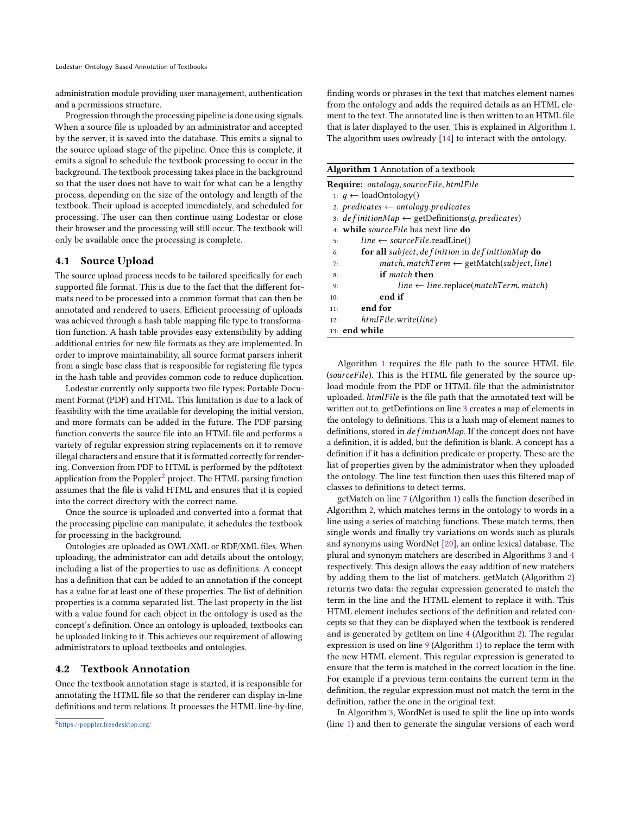administration module providing user management, authentication and a permissions structure.

Progression through the processing pipeline is done using signals. When a source file is uploaded by an administrator and accepted by the server, it is saved into the database. This emits a signal to the source upload stage of the pipeline. Once this is complete, it emits a signal to schedule the textbook processing to occur in the background. The textbook processing takes place in the background so that the user does not have to wait for what can be a lengthy process, depending on the size of the ontology and length of the textbook. Their upload is accepted immediately, and scheduled for processing. The user can then continue using Lodestar or close their browser and the processing will still occur. The textbook will only be available once the processing is complete.

#### 4.1 Source Upload

The source upload process needs to be tailored specifically for each supported file format. This is due to the fact that the different formats need to be processed into a common format that can then be annotated and rendered to users. Efficient processing of uploads was achieved through a hash table mapping file type to transformation function. A hash table provides easy extensibility by adding additional entries for new file formats as they are implemented. In order to improve maintainability, all source format parsers inherit from a single base class that is responsible for registering file types in the hash table and provides common code to reduce duplication.

Lodestar currently only supports two file types: Portable Document Format (PDF) and HTML. This limitation is due to a lack of feasibility with the time available for developing the initial version, and more formats can be added in the future. The PDF parsing function converts the source file into an HTML file and performs a variety of regular expression string replacements on it to remove illegal characters and ensure that it is formatted correctly for rendering. Conversion from PDF to HTML is performed by the pdftotext application from the Poppler<sup>[2](#page-4-0)</sup> project. The HTML parsing function assumes that the file is valid HTML and ensures that it is copied into the correct directory with the correct name.

Once the source is uploaded and converted into a format that the processing pipeline can manipulate, it schedules the textbook for processing in the background.

Ontologies are uploaded as OWL/XML or RDF/XML files. When uploading, the administrator can add details about the ontology, including a list of the properties to use as definitions. A concept has a definition that can be added to an annotation if the concept has a value for at least one of these properties. The list of definition properties is a comma separated list. The last property in the list with a value found for each object in the ontology is used as the concept's definition. Once an ontology is uploaded, textbooks can be uploaded linking to it. This achieves our requirement of allowing administrators to upload textbooks and ontologies.

#### 4.2 Textbook Annotation

Once the textbook annotation stage is started, it is responsible for annotating the HTML file so that the renderer can display in-line definitions and term relations. It processes the HTML line-by-line, finding words or phrases in the text that matches element names from the ontology and adds the required details as an HTML element to the text. The annotated line is then written to an HTML file that is later displayed to the user. This is explained in Algorithm [1.](#page-4-1) The algorithm uses owlready [\[14\]](#page-9-23) to interact with the ontology.

<span id="page-4-3"></span><span id="page-4-2"></span><span id="page-4-1"></span>

| <b>Algorithm 1</b> Annotation of a textbook                                 |
|-----------------------------------------------------------------------------|
| <b>Require:</b> ontology, sourceFile, htmlFile                              |
| 1: $q \leftarrow$ loadOntology()                                            |
| 2: predicates $\leftarrow$ ontology.predicates                              |
| 3: $definitionMap \leftarrow getDefinitions(q, predicates)$                 |
| 4. while source File has next line do                                       |
| $line \leftarrow sourceFile.readLine()$<br>5:                               |
| <b>for all</b> subject, de finition in de finitionMap <b>do</b><br>6:       |
| $match, matchTerm \leftarrow getMatch(subject, line)$<br>7:                 |
| if <i>match</i> then<br>8:                                                  |
| $line \leftarrow line.\text{replace}(\text{matchTerm}, \text{match})$<br>9: |
| end if<br>10:                                                               |
| end for<br>11:                                                              |
| htmlFile.write(line)<br>12:                                                 |
| 13: end while                                                               |

<span id="page-4-4"></span>Algorithm [1](#page-4-1) requires the file path to the source HTML file (sourceFile). This is the HTML file generated by the source upload module from the PDF or HTML file that the administrator uploaded. htmlFile is the file path that the annotated text will be written out to. getDefintions on line [3](#page-4-2) creates a map of elements in the ontology to definitions. This is a hash map of element names to definitions, stored in *definitionMap*. If the concept does not have a definition, it is added, but the definition is blank. A concept has a definition if it has a definition predicate or property. These are the list of properties given by the administrator when they uploaded the ontology. The line test function then uses this filtered map of classes to definitions to detect terms.

getMatch on line [7](#page-4-3) (Algorithm [1\)](#page-4-1) calls the function described in Algorithm [2,](#page-5-0) which matches terms in the ontology to words in a line using a series of matching functions. These match terms, then single words and finally try variations on words such as plurals and synonyms using WordNet [\[20\]](#page-9-3), an online lexical database. The plural and synonym matchers are described in Algorithms [3](#page-5-1) and [4](#page-5-2) respectively. This design allows the easy addition of new matchers by adding them to the list of matchers. getMatch (Algorithm [2\)](#page-5-0) returns two data: the regular expression generated to match the term in the line and the HTML element to replace it with. This HTML element includes sections of the definition and related concepts so that they can be displayed when the textbook is rendered and is generated by getItem on line [4](#page-5-3) (Algorithm [2\)](#page-5-0). The regular expression is used on line [9](#page-4-4) (Algorithm [1\)](#page-4-1) to replace the term with the new HTML element. This regular expression is generated to ensure that the term is matched in the correct location in the line. For example if a previous term contains the current term in the definition, the regular expression must not match the term in the definition, rather the one in the original text.

In Algorithm [3,](#page-5-1) WordNet is used to split the line up into words (line [1\)](#page-5-4) and then to generate the singular versions of each word

<span id="page-4-0"></span><sup>2</sup><https://poppler.freedesktop.org/>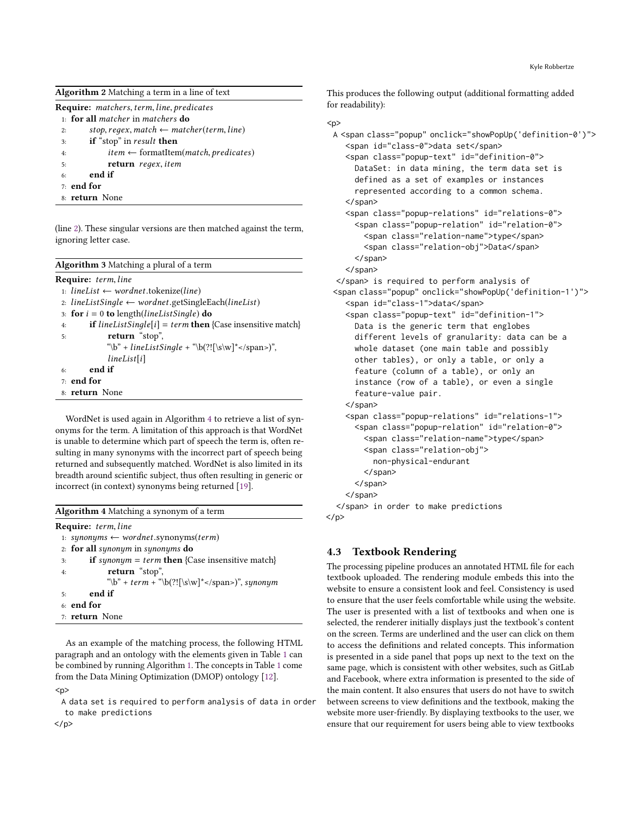<span id="page-5-0"></span>

| <b>Algorithm 2</b> Matching a term in a line of text |  |  |  |  |  |  |  |  |  |
|------------------------------------------------------|--|--|--|--|--|--|--|--|--|
|------------------------------------------------------|--|--|--|--|--|--|--|--|--|

|    | <b>Require:</b> matchers, term, line, predicates                        |
|----|-------------------------------------------------------------------------|
|    | $1:$ for all matcher in matchers do                                     |
| 2: | stop, regex, match $\leftarrow$ matcher(term, line)                     |
| 3: | if "stop" in result then                                                |
| 4: | <i>item</i> $\leftarrow$ formatItem( <i>match</i> , <i>predicates</i> ) |
| 5: | return regex, item                                                      |
| 6: | end if                                                                  |
|    | 7: end for                                                              |

<span id="page-5-3"></span>8: return None

(line [2\)](#page-5-5). These singular versions are then matched against the term, ignoring letter case.

<span id="page-5-5"></span><span id="page-5-4"></span><span id="page-5-1"></span>

| <b>Algorithm 3</b> Matching a plural of a term                                |
|-------------------------------------------------------------------------------|
| <b>Require:</b> term, line                                                    |
| 1: <i>lineList</i> $\leftarrow$ wordnet.tokenize( <i>line</i> )               |
| 2. lineListSingle $\leftarrow$ wordnet.getSingleEach(lineList)                |
| 3. for $i = 0$ to length( <i>lineListSingle</i> ) do                          |
| <b>if</b> lineListSingle[i] = term <b>then</b> {Case insensitive match}<br>4: |
| return "stop",<br>5:                                                          |
| "\b" + lineListSingle + "\b(?![\s\w]*)",                                      |
| lineList[i]                                                                   |
| end if<br>6:                                                                  |
| $7:$ end for                                                                  |
| 8: return None                                                                |

WordNet is used again in Algorithm [4](#page-5-2) to retrieve a list of synonyms for the term. A limitation of this approach is that WordNet is unable to determine which part of speech the term is, often resulting in many synonyms with the incorrect part of speech being returned and subsequently matched. WordNet is also limited in its breadth around scientific subject, thus often resulting in generic or incorrect (in context) synonyms being returned [\[19\]](#page-9-24).

<span id="page-5-2"></span>

| <b>Algorithm 4</b> Matching a synonym of a term                     |
|---------------------------------------------------------------------|
| <b>Require:</b> term, line                                          |
| 1: synonyms $\leftarrow$ wordnet.synonyms(term)                     |
| 2: for all synonym in synonyms $do$                                 |
| <b>if</b> synonym = term <b>then</b> {Case insensitive match}<br>3: |
| return "stop",<br>4:                                                |
| "\b" + term + "\b(?![\s\w]* )", synonym                             |
| end if<br>5:                                                        |
| $6:$ end for                                                        |
| 7: return None                                                      |
|                                                                     |

As an example of the matching process, the following HTML paragraph and an ontology with the elements given in Table [1](#page-6-0) can be combined by running Algorithm [1.](#page-4-1) The concepts in Table [1](#page-6-0) come from the Data Mining Optimization (DMOP) ontology [\[12\]](#page-9-2).  $< p >$ 

A data set is required to perform analysis of data in order to make predictions

<p> A <span class="popup" onclick="showPopUp('definition-0')"> <span id="class-0">data set</span> <span class="popup-text" id="definition-0"> DataSet: in data mining, the term data set is defined as a set of examples or instances represented according to a common schema. </span> <span class="popup-relations" id="relations-0"> <span class="popup-relation" id="relation-0"> <span class="relation-name">type</span> <span class="relation-obj">Data</span> </span> </span> </span> is required to perform analysis of <span class="popup" onclick="showPopUp('definition-1')"> <span id="class-1">data</span> <span class="popup-text" id="definition-1"> Data is the generic term that englobes different levels of granularity: data can be a whole dataset (one main table and possibly other tables), or only a table, or only a feature (column of a table), or only an instance (row of a table), or even a single feature-value pair. </span> <span class="popup-relations" id="relations-1"> <span class="popup-relation" id="relation-0"> <span class="relation-name">type</span> <span class="relation-obj"> non-physical-endurant </span> </span> </span> </span> in order to make predictions  $<$ /p>

This produces the following output (additional formatting added

for readability):

# 4.3 Textbook Rendering

The processing pipeline produces an annotated HTML file for each textbook uploaded. The rendering module embeds this into the website to ensure a consistent look and feel. Consistency is used to ensure that the user feels comfortable while using the website. The user is presented with a list of textbooks and when one is selected, the renderer initially displays just the textbook's content on the screen. Terms are underlined and the user can click on them to access the definitions and related concepts. This information is presented in a side panel that pops up next to the text on the same page, which is consistent with other websites, such as GitLab and Facebook, where extra information is presented to the side of the main content. It also ensures that users do not have to switch between screens to view definitions and the textbook, making the website more user-friendly. By displaying textbooks to the user, we ensure that our requirement for users being able to view textbooks

</p>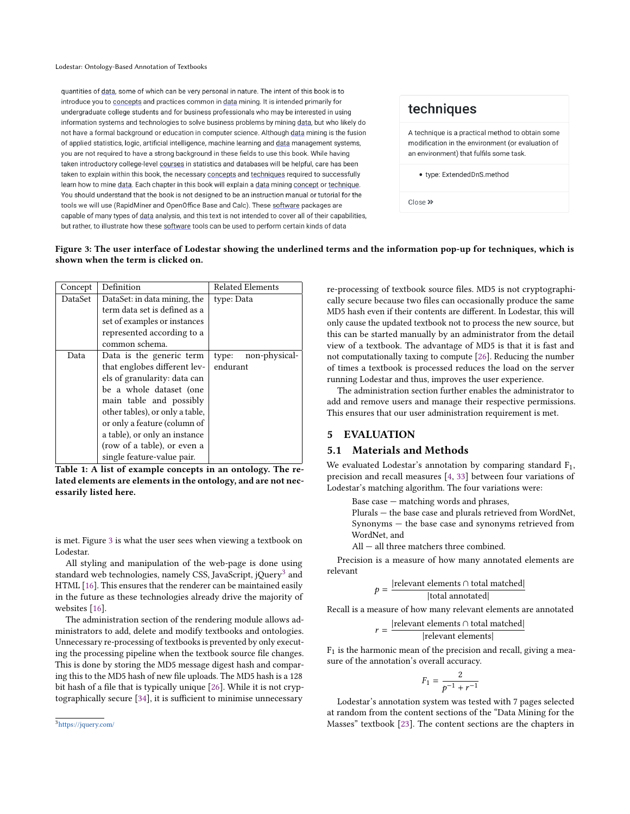Lodestar: Ontology-Based Annotation of Textbooks

<span id="page-6-1"></span>quantities of data, some of which can be very personal in nature. The intent of this book is to introduce you to concepts and practices common in data mining. It is intended primarily for undergraduate college students and for business professionals who may be interested in using information systems and technologies to solve business problems by mining data, but who likely do not have a formal background or education in computer science. Although data mining is the fusion of applied statistics, logic, artificial intelligence, machine learning and data management systems, you are not required to have a strong background in these fields to use this book. While having taken introductory college-level courses in statistics and databases will be helpful, care has been taken to explain within this book, the necessary concepts and techniques required to successfully learn how to mine data. Each chapter in this book will explain a data mining concept or technique. You should understand that the book is not designed to be an instruction manual or tutorial for the tools we will use (RapidMiner and OpenOffice Base and Calc). These software packages are capable of many types of data analysis, and this text is not intended to cover all of their capabilities, but rather, to illustrate how these software tools can be used to perform certain kinds of data

# techniques

A technique is a practical method to obtain some modification in the environment (or evaluation of an environment) that fulfils some task.

· type: ExtendedDnS.method

 $Close \rightarrow$ 

#### Figure 3: The user interface of Lodestar showing the underlined terms and the information pop-up for techniques, which is shown when the term is clicked on.

<span id="page-6-0"></span>

| Concept | Definition                      | <b>Related Elements</b> |
|---------|---------------------------------|-------------------------|
| DataSet | DataSet: in data mining, the    | type: Data              |
|         | term data set is defined as a   |                         |
|         | set of examples or instances    |                         |
|         | represented according to a      |                         |
|         | common schema.                  |                         |
| Data    | Data is the generic term        | non-physical-<br>type:  |
|         | that englobes different lev-    | endurant                |
|         | els of granularity: data can    |                         |
|         | be a whole dataset (one         |                         |
|         | main table and possibly         |                         |
|         | other tables), or only a table, |                         |
|         | or only a feature (column of    |                         |
|         | a table), or only an instance   |                         |
|         | (row of a table), or even a     |                         |
|         | single feature-value pair.      |                         |

Table 1: A list of example concepts in an ontology. The related elements are elements in the ontology, and are not necessarily listed here.

is met. Figure [3](#page-6-1) is what the user sees when viewing a textbook on Lodestar.

All styling and manipulation of the web-page is done using standard web technologies, namely CSS, JavaScript, jQuery<sup>[3](#page-6-2)</sup> and HTML [\[16\]](#page-9-25). This ensures that the renderer can be maintained easily in the future as these technologies already drive the majority of websites [\[16\]](#page-9-25).

The administration section of the rendering module allows administrators to add, delete and modify textbooks and ontologies. Unnecessary re-processing of textbooks is prevented by only executing the processing pipeline when the textbook source file changes. This is done by storing the MD5 message digest hash and comparing this to the MD5 hash of new file uploads. The MD5 hash is a 128 bit hash of a file that is typically unique [\[26\]](#page-9-26). While it is not cryptographically secure [\[34\]](#page-9-27), it is sufficient to minimise unnecessary

re-processing of textbook source files. MD5 is not cryptographically secure because two files can occasionally produce the same MD5 hash even if their contents are different. In Lodestar, this will only cause the updated textbook not to process the new source, but this can be started manually by an administrator from the detail view of a textbook. The advantage of MD5 is that it is fast and not computationally taxing to compute [\[26\]](#page-9-26). Reducing the number of times a textbook is processed reduces the load on the server running Lodestar and thus, improves the user experience.

The administration section further enables the administrator to add and remove users and manage their respective permissions. This ensures that our user administration requirement is met.

# 5 EVALUATION

 $r =$ 

#### 5.1 Materials and Methods

We evaluated Lodestar's annotation by comparing standard  $F_1$ , precision and recall measures [\[4,](#page-8-4) [33\]](#page-9-28) between four variations of Lodestar's matching algorithm. The four variations were:

Base case — matching words and phrases,

Plurals — the base case and plurals retrieved from WordNet, Synonyms — the base case and synonyms retrieved from WordNet, and

All — all three matchers three combined.

Precision is a measure of how many annotated elements are relevant

$$
p = \frac{|\text{relevant elements} \cap \text{total matched}|}{|\text{total annotated}|}
$$

Recall is a measure of how many relevant elements are annotated

$$
\frac{|\text{relevant elements} \cap \text{total matched}|}{|\text{relevant elements}|}
$$

 $F_1$  is the harmonic mean of the precision and recall, giving a measure of the annotation's overall accuracy.

$$
F_1 = \frac{2}{p^{-1} + r^{-1}}
$$

 $\frac{p-1}{p-1+r-1}$ <br>Lodestar's annotation system was tested with 7 pages selected at random from the content sections of the "Data Mining for the Masses" textbook [\[23\]](#page-9-1). The content sections are the chapters in

<span id="page-6-2"></span><sup>3</sup><https://jquery.com/>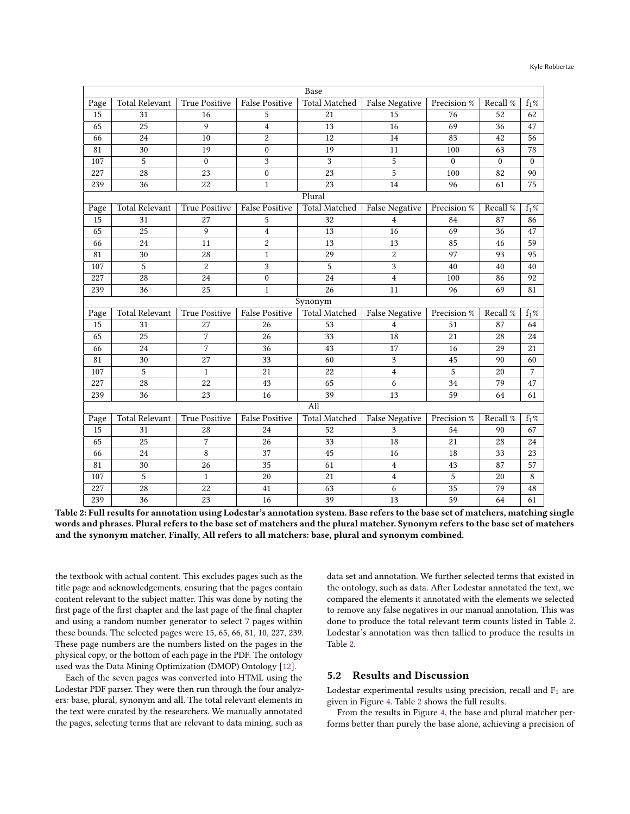#### Kyle Robbertze

<span id="page-7-0"></span>

|                 | Base                  |                      |                       |                      |                       |                  |              |              |  |
|-----------------|-----------------------|----------------------|-----------------------|----------------------|-----------------------|------------------|--------------|--------------|--|
| Page            | <b>Total Relevant</b> | True Positive        | <b>False Positive</b> | Total Matched        | <b>False Negative</b> | Precision %      | Recall %     | $f_1\%$      |  |
| 15              | 31                    | 16                   | 5                     | 21                   | 15                    | 76               | 52           | 62           |  |
| 65              | 25                    | 9                    | $\overline{4}$        | 13                   | 16                    | 69               | 36           | 47           |  |
| 66              | 24                    | 10                   | $\overline{2}$        | 12                   | 14                    | 83               | 42           | 56           |  |
| 81              | 30                    | 19                   | $\boldsymbol{0}$      | 19                   | 11                    | 100              | 63           | 78           |  |
| 107             | 5                     | $\mathbf{0}$         | 3                     | 3                    | 5                     | $\boldsymbol{0}$ | $\mathbf{0}$ | $\mathbf{0}$ |  |
| 227             | 28                    | 23                   | $\boldsymbol{0}$      | 23                   | 5                     | 100              | 82           | 90           |  |
| 239             | 36                    | 22                   | $\mathbf{1}$          | 23                   | 14                    | 96               | 61           | 75           |  |
| Plural          |                       |                      |                       |                      |                       |                  |              |              |  |
| Page            | <b>Total Relevant</b> | <b>True Positive</b> | False Positive        | Total Matched        | <b>False Negative</b> | Precision %      | Recall %     | $f_1\%$      |  |
| 15              | 31                    | 27                   | 5                     | 32                   | $\overline{4}$        | 84               | 87           | 86           |  |
| 65              | 25                    | 9                    | $\overline{4}$        | 13                   | 16                    | 69               | 36           | 47           |  |
| 66              | 24                    | 11                   | $\overline{c}$        | 13                   | 13                    | 85               | 46           | 59           |  |
| 81              | 30                    | 28                   | $\mathbf{1}$          | 29                   | $\boldsymbol{2}$      | 97               | 93           | 95           |  |
| 107             | 5                     | $\overline{c}$       | 3                     | 5                    | 3                     | 40               | 40           | 40           |  |
| 227             | 28                    | 24                   | $\boldsymbol{0}$      | 24                   | $\overline{4}$        | 100              | 86           | 92           |  |
| 239             | 36                    | 25                   | $\mathbf{1}$          | 26                   | 11                    | 96               | 69           | 81           |  |
|                 |                       |                      |                       | Synonym              |                       |                  |              |              |  |
| Page            | <b>Total Relevant</b> | True Positive        | <b>False Positive</b> | <b>Total Matched</b> | <b>False Negative</b> | Precision %      | Recall %     | $f_1\%$      |  |
| 15              | 31                    | 27                   | 26                    | 53                   | 4                     | 51               | 87           | 64           |  |
| 65              | 25                    | $\overline{7}$       | 26                    | 33                   | 18                    | 21               | 28           | 24           |  |
| 66              | 24                    | 7                    | 36                    | 43                   | 17                    | 16               | 29           | 21           |  |
| $\overline{81}$ | 30                    | 27                   | 33                    | 60                   | 3                     | 45               | 90           | 60           |  |
| 107             | 5                     | $\mathbf{1}$         | 21                    | 22                   | $\overline{4}$        | 5                | 20           | 7            |  |
| 227             | 28                    | 22                   | 43                    | 65                   | 6                     | 34               | 79           | 47           |  |
| 239             | 36                    | 23                   | 16                    | 39                   | 13                    | 59               | 64           | 61           |  |
|                 |                       |                      |                       | All                  |                       |                  |              |              |  |
| Page            | <b>Total Relevant</b> | <b>True Positive</b> | <b>False Positive</b> | <b>Total Matched</b> | <b>False Negative</b> | Precision %      | Recall %     | $f_1\%$      |  |
| 15              | 31                    | 28                   | 24                    | 52                   | 3                     | 54               | 90           | 67           |  |
| 65              | 25                    | 7                    | 26                    | 33                   | 18                    | 21               | 28           | 24           |  |
| 66              | 24                    | 8                    | 37                    | 45                   | 16                    | 18               | 33           | 23           |  |
| 81              | 30                    | 26                   | 35                    | 61                   | $\overline{4}$        | 43               | 87           | 57           |  |
| 107             | 5                     | $\mathbf{1}$         | 20                    | 21                   | $\overline{4}$        | 5                | 20           | 8            |  |
| 227             | 28                    | 22                   | 41                    | 63                   | 6                     | 35               | 79           | 48           |  |
| 239             | 36                    | 23                   | 16                    | 39                   | 13                    | 59               | 64           | 61           |  |

Table 2: Full results for annotation using Lodestar's annotation system. Base refers to the base set of matchers, matching single words and phrases. Plural refers to the base set of matchers and the plural matcher. Synonym refers to the base set of matchers and the synonym matcher. Finally, All refers to all matchers: base, plural and synonym combined.

the textbook with actual content. This excludes pages such as the title page and acknowledgements, ensuring that the pages contain content relevant to the subject matter. This was done by noting the first page of the first chapter and the last page of the final chapter and using a random number generator to select 7 pages within these bounds. The selected pages were 15, 65, 66, 81, 10, 227, 239. These page numbers are the numbers listed on the pages in the physical copy, or the bottom of each page in the PDF. The ontology used was the Data Mining Optimization (DMOP) Ontology [\[12\]](#page-9-2).

Each of the seven pages was converted into HTML using the Lodestar PDF parser. They were then run through the four analyzers: base, plural, synonym and all. The total relevant elements in the text were curated by the researchers. We manually annotated the pages, selecting terms that are relevant to data mining, such as

data set and annotation. We further selected terms that existed in the ontology, such as data. After Lodestar annotated the text, we compared the elements it annotated with the elements we selected to remove any false negatives in our manual annotation. This was done to produce the total relevant term counts listed in Table [2.](#page-7-0) Lodestar's annotation was then tallied to produce the results in Table [2.](#page-7-0)

#### 5.2 Results and Discussion

Lodestar experimental results using precision, recall and  $F_1$  are given in Figure [4.](#page-8-5) Table [2](#page-7-0) shows the full results.

From the results in Figure [4,](#page-8-5) the base and plural matcher performs better than purely the base alone, achieving a precision of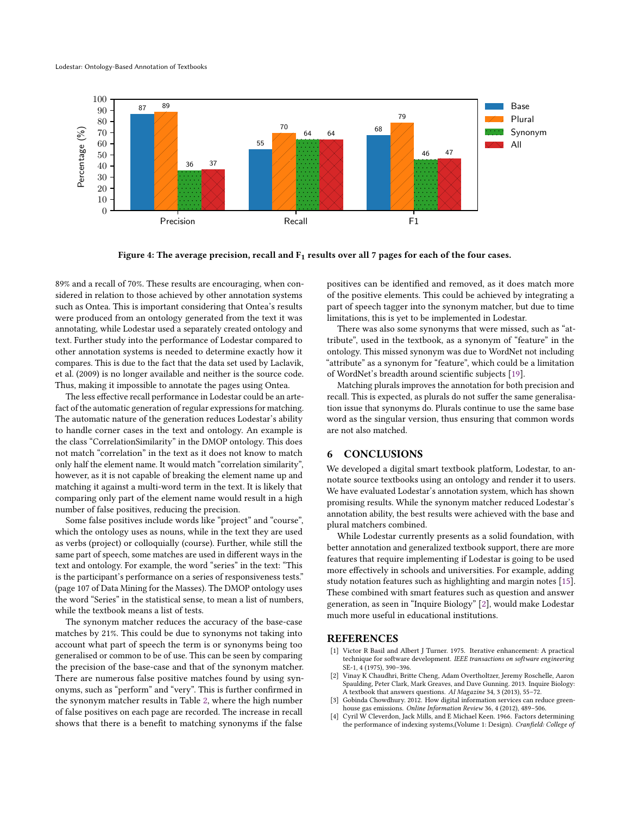<span id="page-8-5"></span>

Figure 4: The average precision, recall and  $F_1$  results over all 7 pages for each of the four cases.

89% and a recall of 70%. These results are encouraging, when considered in relation to those achieved by other annotation systems such as Ontea. This is important considering that Ontea's results were produced from an ontology generated from the text it was annotating, while Lodestar used a separately created ontology and text. Further study into the performance of Lodestar compared to other annotation systems is needed to determine exactly how it compares. This is due to the fact that the data set used by Laclavik, et al. (2009) is no longer available and neither is the source code. Thus, making it impossible to annotate the pages using Ontea.

The less effective recall performance in Lodestar could be an artefact of the automatic generation of regular expressions for matching. The automatic nature of the generation reduces Lodestar's ability to handle corner cases in the text and ontology. An example is the class "CorrelationSimilarity" in the DMOP ontology. This does not match "correlation" in the text as it does not know to match only half the element name. It would match "correlation similarity", however, as it is not capable of breaking the element name up and matching it against a multi-word term in the text. It is likely that comparing only part of the element name would result in a high number of false positives, reducing the precision.

Some false positives include words like "project" and "course", which the ontology uses as nouns, while in the text they are used as verbs (project) or colloquially (course). Further, while still the same part of speech, some matches are used in different ways in the text and ontology. For example, the word "series" in the text: "This is the participant's performance on a series of responsiveness tests." (page 107 of Data Mining for the Masses). The DMOP ontology uses the word "Series" in the statistical sense, to mean a list of numbers, while the textbook means a list of tests.

The synonym matcher reduces the accuracy of the base-case matches by 21%. This could be due to synonyms not taking into account what part of speech the term is or synonyms being too generalised or common to be of use. This can be seen by comparing the precision of the base-case and that of the synonym matcher. There are numerous false positive matches found by using synonyms, such as "perform" and "very". This is further confirmed in the synonym matcher results in Table [2,](#page-7-0) where the high number of false positives on each page are recorded. The increase in recall shows that there is a benefit to matching synonyms if the false

positives can be identified and removed, as it does match more of the positive elements. This could be achieved by integrating a part of speech tagger into the synonym matcher, but due to time limitations, this is yet to be implemented in Lodestar.

There was also some synonyms that were missed, such as "attribute", used in the textbook, as a synonym of "feature" in the ontology. This missed synonym was due to WordNet not including "attribute" as a synonym for "feature", which could be a limitation of WordNet's breadth around scientific subjects [\[19\]](#page-9-24).

Matching plurals improves the annotation for both precision and recall. This is expected, as plurals do not suffer the same generalisation issue that synonyms do. Plurals continue to use the same base word as the singular version, thus ensuring that common words are not also matched.

#### <span id="page-8-1"></span>6 CONCLUSIONS

We developed a digital smart textbook platform, Lodestar, to annotate source textbooks using an ontology and render it to users. We have evaluated Lodestar's annotation system, which has shown promising results. While the synonym matcher reduced Lodestar's annotation ability, the best results were achieved with the base and plural matchers combined.

While Lodestar currently presents as a solid foundation, with better annotation and generalized textbook support, there are more features that require implementing if Lodestar is going to be used more effectively in schools and universities. For example, adding study notation features such as highlighting and margin notes [\[15\]](#page-9-29). These combined with smart features such as question and answer generation, as seen in "Inquire Biology" [\[2\]](#page-8-0), would make Lodestar much more useful in educational institutions.

# **REFERENCES**

- <span id="page-8-3"></span>[1] Victor R Basil and Albert J Turner. 1975. Iterative enhancement: A practical technique for software development. IEEE transactions on software engineering SE-1, 4 (1975), 390–396.
- <span id="page-8-0"></span>[2] Vinay K Chaudhri, Britte Cheng, Adam Overtholtzer, Jeremy Roschelle, Aaron Spaulding, Peter Clark, Mark Greaves, and Dave Gunning. 2013. Inquire Biology: A textbook that answers questions. AI Magazine 34, 3 (2013), 55–72.
- <span id="page-8-2"></span>Gobinda Chowdhury. 2012. How digital information services can reduce greenhouse gas emissions. Online Information Review 36, 4 (2012), 489–506.
- <span id="page-8-4"></span>[4] Cyril W Cleverdon, Jack Mills, and E Michael Keen. 1966. Factors determining the performance of indexing systems,(Volume 1: Design). Cranfield: College of